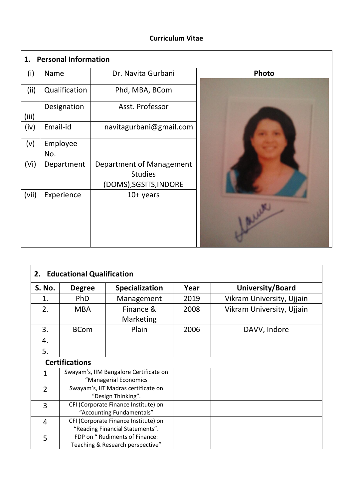### **Curriculum Vitae**

 $\mathbf{r}$ 

| <b>Personal Information</b><br>1. |               |                          |       |  |  |  |  |  |
|-----------------------------------|---------------|--------------------------|-------|--|--|--|--|--|
| (i)                               | Name          | Dr. Navita Gurbani       | Photo |  |  |  |  |  |
| (ii)                              | Qualification | Phd, MBA, BCom           |       |  |  |  |  |  |
| (iii)                             | Designation   | Asst. Professor          |       |  |  |  |  |  |
| (iv)                              | Email-id      | navitagurbani@gmail.com  |       |  |  |  |  |  |
| (v)                               | Employee      |                          |       |  |  |  |  |  |
|                                   | No.           |                          |       |  |  |  |  |  |
| (V <sub>i</sub> )                 | Department    | Department of Management |       |  |  |  |  |  |
|                                   |               | <b>Studies</b>           |       |  |  |  |  |  |
|                                   |               | (DOMS), SGSITS, INDORE   |       |  |  |  |  |  |
| (vii)                             | Experience    | $10+$ years              |       |  |  |  |  |  |
|                                   |               |                          |       |  |  |  |  |  |
|                                   |               |                          |       |  |  |  |  |  |
|                                   |               |                          |       |  |  |  |  |  |
|                                   |               |                          |       |  |  |  |  |  |

| <b>Educational Qualification</b><br>2. |                                      |                                        |      |                           |  |  |  |  |
|----------------------------------------|--------------------------------------|----------------------------------------|------|---------------------------|--|--|--|--|
| <b>S. No.</b>                          | <b>Degree</b>                        | <b>Specialization</b>                  | Year | University/Board          |  |  |  |  |
| 1.                                     | <b>PhD</b>                           | Management                             | 2019 | Vikram University, Ujjain |  |  |  |  |
| 2.                                     | <b>MBA</b>                           | Finance &                              | 2008 | Vikram University, Ujjain |  |  |  |  |
|                                        |                                      | Marketing                              |      |                           |  |  |  |  |
| 3.                                     | <b>BCom</b>                          | Plain                                  | 2006 | DAVV, Indore              |  |  |  |  |
| 4.                                     |                                      |                                        |      |                           |  |  |  |  |
| 5.                                     |                                      |                                        |      |                           |  |  |  |  |
| <b>Certifications</b>                  |                                      |                                        |      |                           |  |  |  |  |
| $\mathbf{1}$                           |                                      | Swayam's, IIM Bangalore Certificate on |      |                           |  |  |  |  |
|                                        |                                      | "Managerial Economics                  |      |                           |  |  |  |  |
| $\overline{2}$                         |                                      | Swayam's, IIT Madras certificate on    |      |                           |  |  |  |  |
|                                        |                                      | "Design Thinking".                     |      |                           |  |  |  |  |
| 3                                      | CFI (Corporate Finance Institute) on |                                        |      |                           |  |  |  |  |
|                                        |                                      | "Accounting Fundamentals"              |      |                           |  |  |  |  |
| 4                                      | CFI (Corporate Finance Institute) on |                                        |      |                           |  |  |  |  |
|                                        |                                      | "Reading Financial Statements".        |      |                           |  |  |  |  |
| 5                                      |                                      | FDP on " Rudiments of Finance:         |      |                           |  |  |  |  |
|                                        |                                      | Teaching & Research perspective"       |      |                           |  |  |  |  |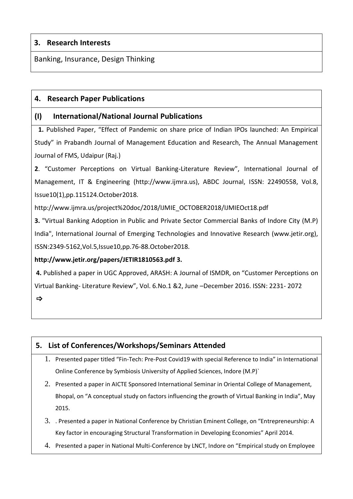## **3. Research Interests**

Banking, Insurance, Design Thinking

### **4. Research Paper Publications**

### **(I) International/National Journal Publications**

 **1.** Published Paper, "Effect of Pandemic on share price of Indian IPOs launched: An Empirical Study" in Prabandh Journal of Management Education and Research, The Annual Management Journal of FMS, Udaipur (Raj.)

**2**. "Customer Perceptions on Virtual Banking-Literature Review", International Journal of Management, IT & Engineering (http://www.ijmra.us), ABDC Journal, ISSN: 22490558, Vol.8, Issue10(1),pp.115124.October2018.

http://www.ijmra.us/project%20doc/2018/IJMIE\_OCTOBER2018/IJMIEOct18.pdf

**3.** "Virtual Banking Adoption in Public and Private Sector Commercial Banks of Indore City (M.P) India", International Journal of Emerging Technologies and Innovative Research (www.jetir.org), ISSN:2349-5162,Vol.5,Issue10,pp.76-88.October2018.

### **http://www.jetir.org/papers/JETIR1810563.pdf 3.**

**4.** Published a paper in UGC Approved, ARASH: A Journal of ISMDR, on "Customer Perceptions on Virtual Banking- Literature Review", Vol. 6.No.1 &2, June –December 2016. ISSN: 2231- 2072

 $\Rightarrow$ 

# **5. List of Conferences/Workshops/Seminars Attended**

- 1. Presented paper titled "Fin-Tech: Pre-Post Covid19 with special Reference to India" in International Online Conference by Symbiosis University of Applied Sciences, Indore (M.P)`
- 2. Presented a paper in AICTE Sponsored International Seminar in Oriental College of Management, Bhopal, on "A conceptual study on factors influencing the growth of Virtual Banking in India", May 2015.
- 3. . Presented a paper in National Conference by Christian Eminent College, on "Entrepreneurship: A Key factor in encouraging Structural Transformation in Developing Economies" April 2014.
- 4. Presented a paper in National Multi-Conference by LNCT, Indore on "Empirical study on Employee